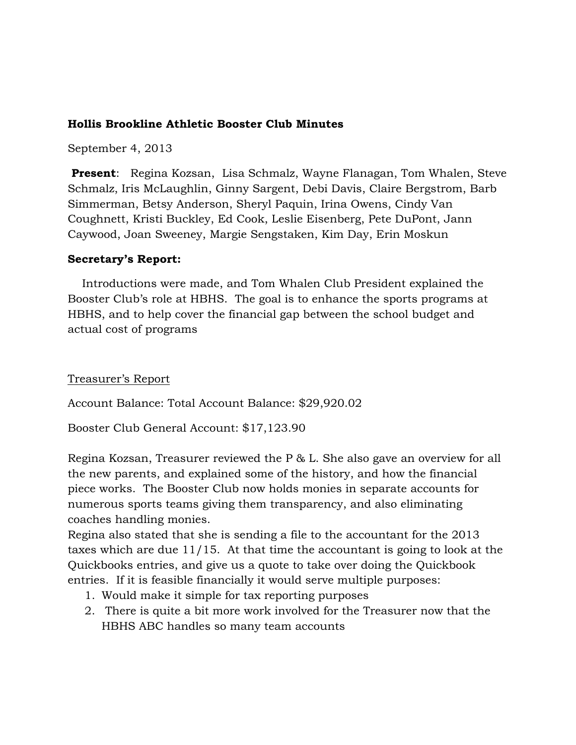## **Hollis Brookline Athletic Booster Club Minutes**

September 4, 2013

**Present**: Regina Kozsan, Lisa Schmalz, Wayne Flanagan, Tom Whalen, Steve Schmalz, Iris McLaughlin, Ginny Sargent, Debi Davis, Claire Bergstrom, Barb Simmerman, Betsy Anderson, Sheryl Paquin, Irina Owens, Cindy Van Coughnett, Kristi Buckley, Ed Cook, Leslie Eisenberg, Pete DuPont, Jann Caywood, Joan Sweeney, Margie Sengstaken, Kim Day, Erin Moskun

### **Secretary's Report:**

 Introductions were made, and Tom Whalen Club President explained the Booster Club's role at HBHS. The goal is to enhance the sports programs at HBHS, and to help cover the financial gap between the school budget and actual cost of programs

### Treasurer's Report

Account Balance: Total Account Balance: \$29,920.02

Booster Club General Account: \$17,123.90

Regina Kozsan, Treasurer reviewed the P & L. She also gave an overview for all the new parents, and explained some of the history, and how the financial piece works. The Booster Club now holds monies in separate accounts for numerous sports teams giving them transparency, and also eliminating coaches handling monies.

Regina also stated that she is sending a file to the accountant for the 2013 taxes which are due 11/15. At that time the accountant is going to look at the Quickbooks entries, and give us a quote to take over doing the Quickbook entries. If it is feasible financially it would serve multiple purposes:

- 1. Would make it simple for tax reporting purposes
- 2. There is quite a bit more work involved for the Treasurer now that the HBHS ABC handles so many team accounts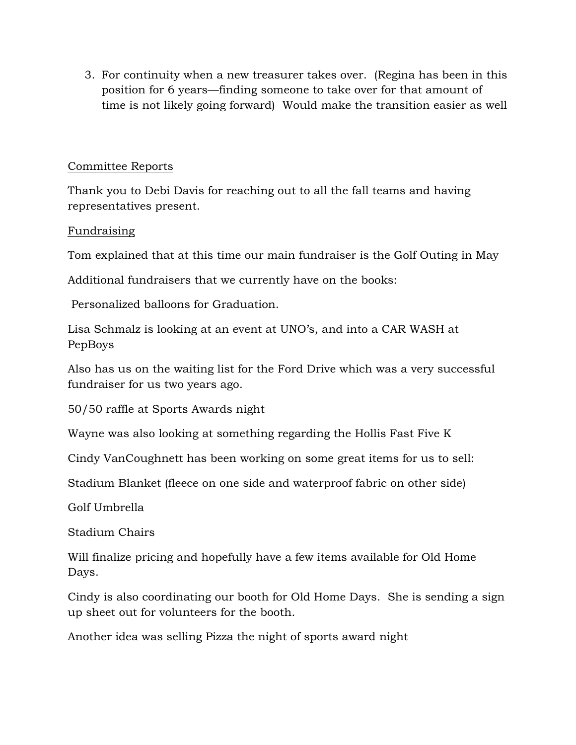3. For continuity when a new treasurer takes over. (Regina has been in this position for 6 years—finding someone to take over for that amount of time is not likely going forward) Would make the transition easier as well

# Committee Reports

Thank you to Debi Davis for reaching out to all the fall teams and having representatives present.

## Fundraising

Tom explained that at this time our main fundraiser is the Golf Outing in May

Additional fundraisers that we currently have on the books:

Personalized balloons for Graduation.

Lisa Schmalz is looking at an event at UNO's, and into a CAR WASH at PepBoys

Also has us on the waiting list for the Ford Drive which was a very successful fundraiser for us two years ago.

50/50 raffle at Sports Awards night

Wayne was also looking at something regarding the Hollis Fast Five K

Cindy VanCoughnett has been working on some great items for us to sell:

Stadium Blanket (fleece on one side and waterproof fabric on other side)

Golf Umbrella

Stadium Chairs

Will finalize pricing and hopefully have a few items available for Old Home Days.

Cindy is also coordinating our booth for Old Home Days. She is sending a sign up sheet out for volunteers for the booth.

Another idea was selling Pizza the night of sports award night